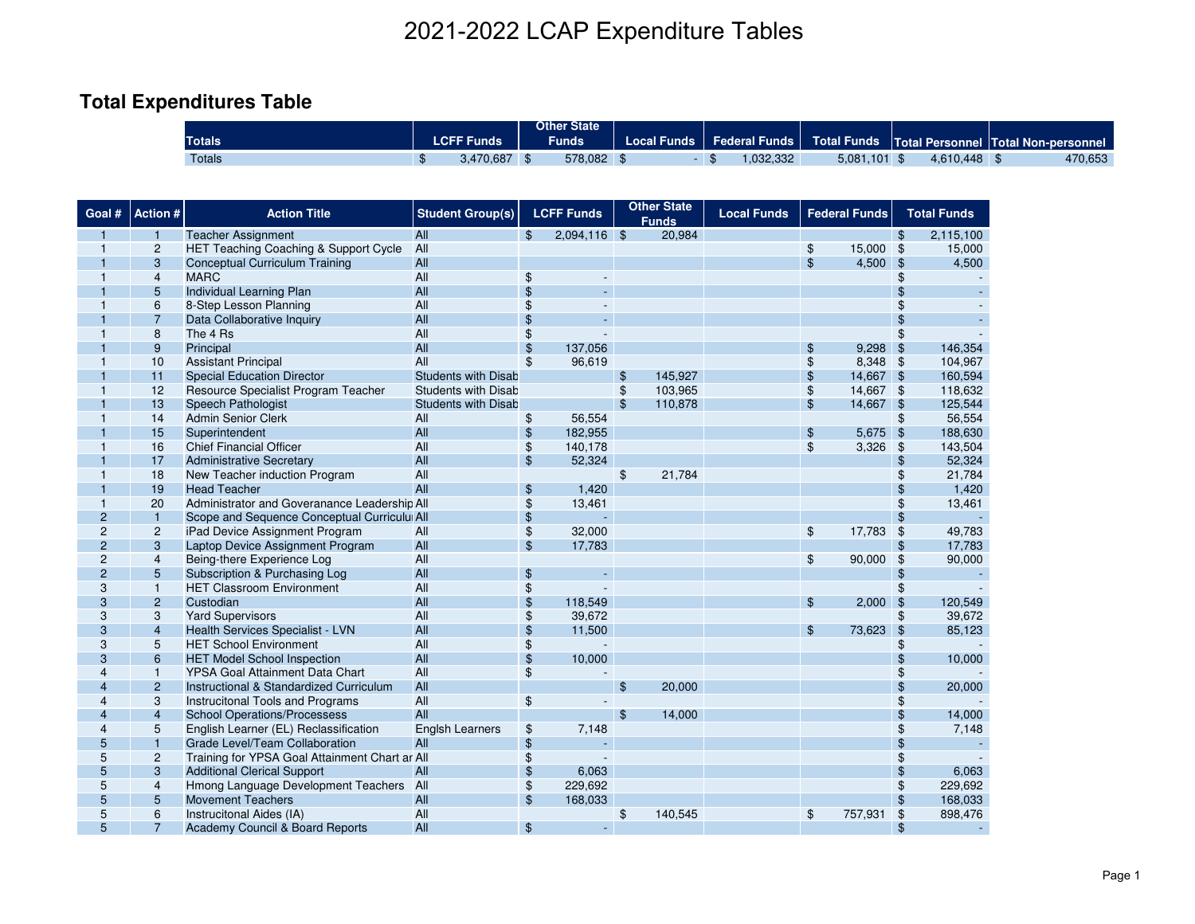# **Total Expenditures Table**

| <b>Totals</b> | .ur | <b>Funds</b> | Other State<br>Funds | Local Funds | <b>Federal Funds</b> | <b>Total Funds</b>         | <b>Total Personnel Total Non-personnel</b> |         |
|---------------|-----|--------------|----------------------|-------------|----------------------|----------------------------|--------------------------------------------|---------|
| <b>Totals</b> |     | 3,470,687    | 578,082              |             | .032.332             | 5,081<br>.101 <sub>2</sub> | .448<br>4.61 <sup>c</sup>                  | 470,653 |

|                                  | 2021-2022 LCAP Expenditure Tables |                                                                                |                                |                           |                             |                |                                    |                      |                |                      |                |                    |
|----------------------------------|-----------------------------------|--------------------------------------------------------------------------------|--------------------------------|---------------------------|-----------------------------|----------------|------------------------------------|----------------------|----------------|----------------------|----------------|--------------------|
|                                  |                                   |                                                                                |                                |                           |                             |                |                                    |                      |                |                      |                |                    |
|                                  |                                   | <b>Total Expenditures Table</b>                                                |                                |                           |                             |                |                                    |                      |                |                      |                |                    |
|                                  |                                   |                                                                                |                                |                           | <b>Other State</b>          |                |                                    |                      |                |                      |                |                    |
|                                  |                                   | Totals                                                                         | <b>LCFF Funds</b>              |                           | <b>Funds</b>                |                | <b>Local Funds</b>                 | <b>Federal Funds</b> |                | <b>Total Funds</b>   |                | Total Personnel  1 |
|                                  |                                   | <b>Totals</b>                                                                  | $\mathfrak{L}$<br>3,470,687 \$ |                           | 578,082 \$                  |                |                                    | - \$<br>1,032,332    |                | $5,081,101$ \$       |                | 4,610,448          |
|                                  |                                   |                                                                                |                                |                           |                             |                |                                    |                      |                |                      |                |                    |
|                                  |                                   |                                                                                |                                |                           |                             |                |                                    |                      |                |                      |                |                    |
| Goal #                           | Action #                          | <b>Action Title</b>                                                            | <b>Student Group(s)</b>        |                           | <b>LCFF Funds</b>           |                | <b>Other State</b><br><b>Funds</b> | <b>Local Funds</b>   |                | <b>Federal Funds</b> |                | <b>Total Funds</b> |
|                                  | 1                                 | <b>Teacher Assignment</b>                                                      | All                            | \$                        | $2,094,116$ \$              |                | 20,984                             |                      |                |                      | \$             | 2,115,100          |
| 1                                | $\overline{c}$                    | HET Teaching Coaching & Support Cycle                                          | All                            |                           |                             |                |                                    |                      | \$             | 15,000               | $\frac{1}{2}$  | 15,000             |
|                                  | 3                                 | <b>Conceptual Curriculum Training</b>                                          | All                            |                           |                             |                |                                    |                      | $\mathfrak{L}$ | 4,500                | $\mathfrak{S}$ | 4,500              |
|                                  | $\overline{\mathbf{4}}$           | <b>MARC</b>                                                                    | All                            | \$                        |                             |                |                                    |                      |                |                      | S              |                    |
|                                  | 5                                 | <b>Individual Learning Plan</b>                                                | All                            | $\mathfrak{L}$            |                             |                |                                    |                      |                |                      |                |                    |
| 1                                | 6<br>$\overline{7}$               | 8-Step Lesson Planning<br>Data Collaborative Inquiry                           | All<br>All                     | \$<br>\$                  | ÷.                          |                |                                    |                      |                |                      |                |                    |
| 1                                | 8                                 | The 4 Rs                                                                       | All                            | \$                        |                             |                |                                    |                      |                |                      |                |                    |
|                                  | 9                                 | Principal                                                                      | All                            | \$                        | 137,056                     |                |                                    |                      | \$             | 9,298                | \$             | 146,354            |
| 1                                | 10                                | <b>Assistant Principal</b>                                                     | All                            | \$                        | 96,619                      |                |                                    |                      | \$             | 8,348                | \$             | 104,967            |
|                                  | 11                                | <b>Special Education Director</b>                                              | <b>Students with Disab</b>     |                           |                             | \$             | 145,927                            |                      | \$             | 14,667 \$            |                | 160,594            |
|                                  | 12                                | Resource Specialist Program Teacher                                            | <b>Students with Disab</b>     |                           |                             | \$             | 103,965                            |                      | \$             | 14,667               | $\mathfrak{F}$ | 118,632            |
|                                  | 13                                | Speech Pathologist                                                             | <b>Students with Disab</b>     |                           |                             | $\mathfrak{L}$ | 110,878                            |                      | $\mathfrak{L}$ | 14,667               | $\mathcal{S}$  | 125,544            |
| 1                                | 14                                | <b>Admin Senior Clerk</b>                                                      | All                            | \$                        | 56,554                      |                |                                    |                      |                |                      | \$             | 56,554             |
|                                  | 15                                | Superintendent                                                                 | All                            | \$                        | 182,955                     |                |                                    |                      | \$             | 5,675                | $\mathbf{\$}$  | 188,630            |
| 1                                | 16                                | <b>Chief Financial Officer</b>                                                 | All                            | \$                        | 140,178                     |                |                                    |                      | \$             | 3,326                | $\frac{1}{2}$  | 143,504            |
|                                  | 17                                | <b>Administrative Secretary</b>                                                | All                            | $\$\$                     | 52,324                      |                |                                    |                      |                |                      | \$             | 52,324             |
| 1                                | 18                                | New Teacher induction Program                                                  | All                            |                           |                             | $\frac{1}{2}$  | 21,784                             |                      |                |                      | \$             | 21,784             |
|                                  | 19                                | <b>Head Teacher</b>                                                            | All                            | $\frac{1}{2}$             | 1,420                       |                |                                    |                      |                |                      | \$             | 1,420              |
| 1                                | 20                                | Administrator and Goveranance Leadership All                                   |                                | \$                        | 13,461                      |                |                                    |                      |                |                      | \$             | 13,461             |
| $\overline{c}$<br>$\overline{c}$ | $\mathbf{1}$<br>$\overline{c}$    | Scope and Sequence Conceptual Curricului All<br>iPad Device Assignment Program |                                | $\boldsymbol{\mathsf{s}}$ |                             |                |                                    |                      |                | 17,783               | \$             |                    |
| $\overline{2}$                   | 3                                 | Laptop Device Assignment Program                                               | All<br>All                     | \$<br>$\mathfrak{S}$      | 32,000<br>17,783            |                |                                    |                      | \$             |                      | \$<br>\$       | 49,783<br>17,783   |
| $\mathbf{2}$                     | $\overline{\mathbf{4}}$           | Being-there Experience Log                                                     | All                            |                           |                             |                |                                    |                      | \$             | 90,000               | $\frac{1}{2}$  | 90,000             |
| $\overline{2}$                   | 5                                 | Subscription & Purchasing Log                                                  | All                            | $\frac{1}{2}$             |                             |                |                                    |                      |                |                      | \$             |                    |
| 3                                | $\mathbf{1}$                      | <b>HET Classroom Environment</b>                                               | All                            | \$                        | $\overline{\phantom{a}}$    |                |                                    |                      |                |                      | \$             |                    |
| 3                                | $\overline{2}$                    | Custodian                                                                      | All                            | \$                        | 118,549                     |                |                                    |                      | $\mathfrak{F}$ | 2,000                | $\mathfrak{S}$ | 120,549            |
| 3                                | 3                                 | <b>Yard Supervisors</b>                                                        | All                            | \$                        | 39,672                      |                |                                    |                      |                |                      | \$             | 39,672             |
| 3                                | $\overline{4}$                    | Health Services Specialist - LVN                                               | All                            | \$                        | 11,500                      |                |                                    |                      | $\mathfrak{L}$ | 73,623               | $\mathfrak{S}$ | 85,123             |
| 3                                | 5                                 | <b>HET School Environment</b>                                                  | All                            | \$                        |                             |                |                                    |                      |                |                      | S              |                    |
| 3                                | 6                                 | <b>HET Model School Inspection</b>                                             | All                            | \$                        | 10,000                      |                |                                    |                      |                |                      |                | 10,000             |
| 4                                | $\mathbf{1}$                      | YPSA Goal Attainment Data Chart                                                | All                            | \$                        |                             |                |                                    |                      |                |                      | \$             |                    |
| $\overline{4}$                   | $\overline{2}$                    | Instructional & Standardized Curriculum                                        | All                            |                           |                             | \$             | 20,000                             |                      |                |                      | \$             | 20,000             |
|                                  | 3                                 | Instrucitonal Tools and Programs                                               | All                            |                           |                             |                |                                    |                      |                |                      | \$             |                    |
| 4                                | $\overline{4}$                    | <b>School Operations/Processess</b>                                            | All                            |                           |                             | $\mathfrak{F}$ | 14.000                             |                      |                |                      | \$             | 14,000             |
| 4                                | 5<br>1                            | English Learner (EL) Reclassification<br>Grade Level/Team Collaboration        | <b>Englsh Learners</b><br>All  | \$                        | 7,148                       |                |                                    |                      |                |                      | \$<br>\$       | 7,148              |
| 5<br>5                           | $\overline{c}$                    | Training for YPSA Goal Attainment Chart ar All                                 |                                | \$<br>\$                  |                             |                |                                    |                      |                |                      | \$             |                    |
| 5                                | 3                                 | <b>Additional Clerical Support</b>                                             | All                            | $\mathfrak{S}$            | 6,063                       |                |                                    |                      |                |                      | \$             | 6,063              |
| 5                                | 4                                 | Hmong Language Development Teachers All                                        |                                | \$                        | 229,692                     |                |                                    |                      |                |                      | \$             | 229,692            |
| 5                                | 5                                 | <b>Movement Teachers</b>                                                       | All                            | $\$\$                     | 168,033                     |                |                                    |                      |                |                      | \$             | 168,033            |
| 5                                | 6                                 | Instrucitonal Aides (IA)                                                       | All                            |                           |                             | $\frac{1}{2}$  | 140,545                            |                      | $\frac{1}{2}$  | 757,931              | \$             | 898,476            |
| 5                                | $\overline{7}$                    | Academy Council & Board Reports                                                | All                            | $\mathfrak{F}$            | $\mathcal{L}_{\mathcal{C}}$ |                |                                    |                      |                |                      | \$             |                    |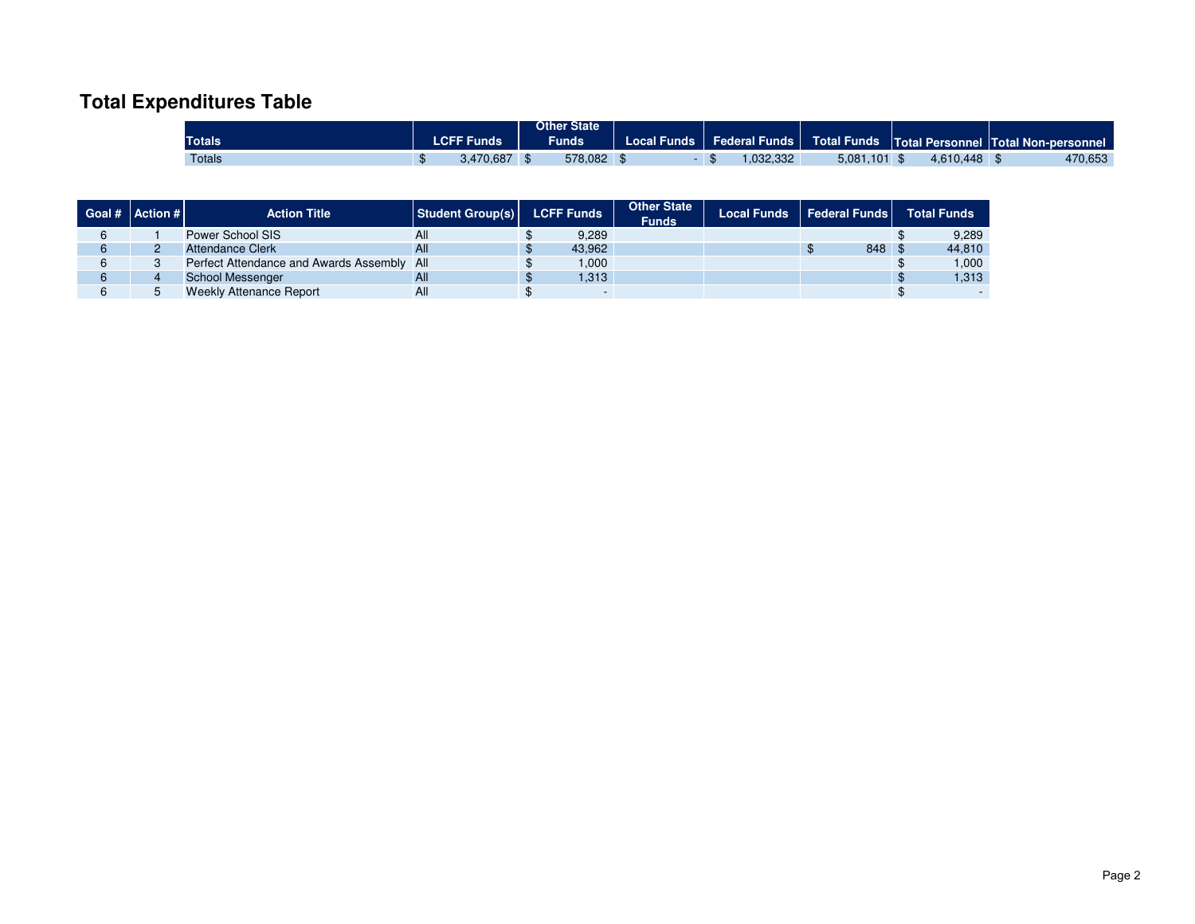# **Total Expenditures Table**

|               |                     | Other State |             |                        |                    |     |                                     |
|---------------|---------------------|-------------|-------------|------------------------|--------------------|-----|-------------------------------------|
| <b>Totals</b> | <b>Funds</b><br>.ur | Funds       | ∟ocal Funds | <b>Federal Funds</b> ⊺ | <b>Total Funds</b> |     | Total Personnel Total Non-personnel |
| <b>Totals</b> | 470,687             | 578,082     |             | ,032,332               | 5,081<br>.101      | AAB | 470,653                             |

| Goal # Action # | <b>Action Title</b>                        | Student Group(s) | <b>LCFF Funds</b> |        | <b>Other State</b><br><b>Funds</b> | <b>Local Funds</b> | <b>Federal Funds</b> | <b>Total Funds</b> |
|-----------------|--------------------------------------------|------------------|-------------------|--------|------------------------------------|--------------------|----------------------|--------------------|
|                 | Power School SIS                           | All              |                   | 9.289  |                                    |                    |                      | 9.289              |
| <u>.</u>        | <b>Attendance Clerk</b>                    | All              |                   | 43.962 |                                    |                    | 848 \$               | 44.810             |
|                 | Perfect Attendance and Awards Assembly All |                  |                   | 1,000  |                                    |                    |                      | 1.000              |
|                 | <b>School Messenger</b>                    | All              |                   | 1.313  |                                    |                    |                      | 1,313              |
|                 | <b>Weekly Attenance Report</b>             | All              |                   |        |                                    |                    |                      |                    |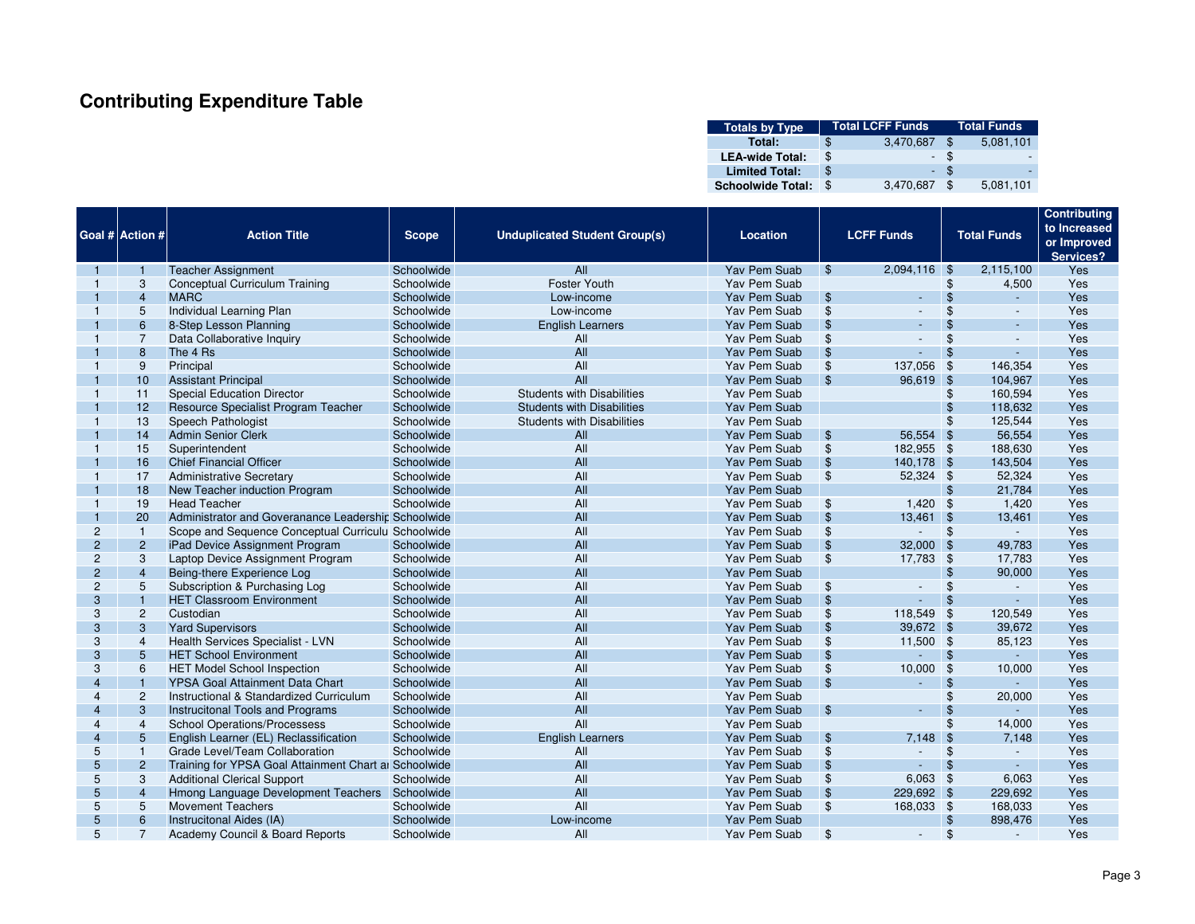# **Contributing Expenditure Table**

| <b>Totals by Type</b>    | <b>Total LCFF Funds</b> | <b>Total Funds</b> |           |
|--------------------------|-------------------------|--------------------|-----------|
| Total:                   | \$<br>3,470,687         | \$                 | 5,081,101 |
| <b>LEA-wide Total:</b>   | \$                      |                    |           |
| <b>Limited Total:</b>    | \$                      |                    |           |
| <b>Schoolwide Total:</b> | \$<br>3,470,687         | £.                 | 5,081,101 |

|                       |                        |                                                       |              |                                      |                     |                |                          |                    |                          | <b>Contributing</b> |
|-----------------------|------------------------|-------------------------------------------------------|--------------|--------------------------------------|---------------------|----------------|--------------------------|--------------------|--------------------------|---------------------|
|                       |                        |                                                       |              |                                      |                     |                |                          |                    |                          | to Increased        |
|                       | <b>Goal # Action #</b> | <b>Action Title</b>                                   | <b>Scope</b> | <b>Unduplicated Student Group(s)</b> | Location            |                | <b>LCFF Funds</b>        |                    | <b>Total Funds</b>       | or Improved         |
|                       |                        |                                                       |              |                                      |                     |                |                          |                    |                          | Services?           |
|                       | -1                     | <b>Teacher Assignment</b>                             | Schoolwide   | All                                  | <b>Yav Pem Suab</b> | \$             | 2,094,116 \$             |                    | 2,115,100                | Yes                 |
|                       | 3                      | Conceptual Curriculum Training                        | Schoolwide   | <b>Foster Youth</b>                  | Yav Pem Suab        |                |                          | \$                 | 4,500                    | Yes                 |
|                       | $\overline{4}$         | <b>MARC</b>                                           | Schoolwide   | Low-income                           | Yav Pem Suab        | $\mathfrak{F}$ | $\sim$                   | $\mathfrak{S}$     | $\Delta \sim 10$         | Yes                 |
|                       | 5                      | Individual Learning Plan                              | Schoolwide   | Low-income                           | <b>Yav Pem Suab</b> | \$             | $\overline{a}$           | \$                 | $\overline{\phantom{a}}$ | Yes                 |
|                       | 6                      | 8-Step Lesson Planning                                | Schoolwide   | <b>English Learners</b>              | Yav Pem Suab        | $\frac{1}{2}$  | $\overline{a}$           | $\mathfrak{S}$     | L,                       | <b>Yes</b>          |
|                       | $\overline{7}$         | Data Collaborative Inquiry                            | Schoolwide   | All                                  | Yav Pem Suab        | \$             | $\overline{\phantom{a}}$ | \$                 | $\overline{a}$           | Yes                 |
|                       | 8                      | The 4 Rs                                              | Schoolwide   | All                                  | <b>Yav Pem Suab</b> | $\mathfrak{S}$ | $\overline{a}$           | \$                 | ÷.                       | Yes                 |
|                       | 9                      | Principal                                             | Schoolwide   | All                                  | Yav Pem Suab        | $\frac{1}{2}$  | 137,056                  | $\sqrt{3}$         | 146,354                  | Yes                 |
|                       | 10                     | <b>Assistant Principal</b>                            | Schoolwide   | All                                  | Yav Pem Suab        | \$             | 96.619 \$                |                    | 104,967                  | Yes                 |
|                       | 11                     | <b>Special Education Director</b>                     | Schoolwide   | <b>Students with Disabilities</b>    | Yav Pem Suab        |                |                          | \$                 | 160,594                  | Yes                 |
|                       | 12                     | Resource Specialist Program Teacher                   | Schoolwide   | <b>Students with Disabilities</b>    | <b>Yav Pem Suab</b> |                |                          | \$                 | 118,632                  | Yes                 |
|                       | 13                     | Speech Pathologist                                    | Schoolwide   | <b>Students with Disabilities</b>    | Yav Pem Suab        |                |                          | \$                 | 125,544                  | Yes                 |
|                       | 14                     | <b>Admin Senior Clerk</b>                             | Schoolwide   | All                                  | Yav Pem Suab        | $\sqrt[6]{3}$  | 56,554 \$                |                    | 56,554                   | Yes                 |
|                       | 15                     | Superintendent                                        | Schoolwide   | All                                  | Yav Pem Suab        | \$             | 182,955 \$               |                    | 188,630                  | Yes                 |
|                       | 16                     | <b>Chief Financial Officer</b>                        | Schoolwide   | All                                  | Yav Pem Suab        | $\sqrt[3]{5}$  | 140,178 \$               |                    | 143,504                  | Yes                 |
|                       | 17                     | <b>Administrative Secretary</b>                       | Schoolwide   | All                                  | <b>Yav Pem Suab</b> | $\frac{1}{2}$  | 52,324 \$                |                    | 52,324                   | Yes                 |
|                       | 18                     | New Teacher induction Program                         | Schoolwide   | All                                  | Yav Pem Suab        |                |                          | \$                 | 21,784                   | <b>Yes</b>          |
|                       | 19                     | <b>Head Teacher</b>                                   | Schoolwide   | All                                  | Yav Pem Suab        | $\frac{1}{2}$  | $1,420$ \$               |                    | 1,420                    | Yes                 |
|                       | 20                     | Administrator and Goveranance Leadershir Schoolwide   |              | All                                  | Yav Pem Suab        | $\sqrt{3}$     | 13,461 \$                |                    | 13,461                   | <b>Yes</b>          |
| $\overline{2}$        | $\mathbf{1}$           | Scope and Sequence Conceptual Curriculu Schoolwide    |              | All                                  | Yav Pem Suab        | \$             | $\sim$                   | -\$                | $\sim$ $-$               | Yes                 |
| $\overline{2}$        | $\overline{2}$         | iPad Device Assignment Program                        | Schoolwide   | All                                  | Yav Pem Suab        | $\sqrt[3]{5}$  | $32,000$ \$              |                    | 49,783                   | Yes                 |
| $\overline{2}$        | 3                      | Laptop Device Assignment Program                      | Schoolwide   | All                                  | Yav Pem Suab        | \$             | 17,783 \$                |                    | 17,783                   | Yes                 |
| $\overline{2}$        | $\overline{4}$         | Being-there Experience Log                            | Schoolwide   | All                                  | Yav Pem Suab        |                |                          | $\mathfrak{S}$     | 90,000                   | Yes                 |
| $\overline{2}$        | 5                      | Subscription & Purchasing Log                         | Schoolwide   | All                                  | Yav Pem Suab        | \$             | $\overline{a}$           | $\mathfrak{F}$     | $\blacksquare$           | Yes                 |
| 3                     | $\overline{1}$         | <b>HET Classroom Environment</b>                      | Schoolwide   | All                                  | Yav Pem Suab        | $\mathfrak{S}$ | ÷.                       | $\mathbf{\$}$      | ω.                       | Yes                 |
| 3                     | $\overline{c}$         | Custodian                                             | Schoolwide   | All                                  | Yav Pem Suab        | $\frac{1}{2}$  | 118,549                  | -\$                | 120,549                  | Yes                 |
| 3                     | 3                      | <b>Yard Supervisors</b>                               | Schoolwide   | All                                  | Yav Pem Suab        | \$             | 39,672 \$                |                    | 39,672                   | Yes                 |
| 3                     | $\overline{4}$         | Health Services Specialist - LVN                      | Schoolwide   | All                                  | Yav Pem Suab        | \$             | 11,500 \$                |                    | 85,123                   | Yes                 |
| 3                     | 5                      | <b>HET School Environment</b>                         | Schoolwide   | All                                  | Yav Pem Suab        | \$             | L.                       | $\mathbf{\hat{s}}$ | $\omega_{\rm{eff}}$      | Yes                 |
| 3                     | 6                      | <b>HET Model School Inspection</b>                    | Schoolwide   | All                                  | Yav Pem Suab        | \$             | 10,000                   | -\$                | 10,000                   | Yes                 |
| $\overline{4}$        | $\overline{1}$         | <b>YPSA Goal Attainment Data Chart</b>                | Schoolwide   | All                                  | Yav Pem Suab        | \$             | L,                       | \$                 | L,                       | Yes                 |
| $\Delta$              | $\overline{2}$         | Instructional & Standardized Curriculum               | Schoolwide   | All                                  | Yav Pem Suab        |                |                          | $\mathfrak{L}$     | 20,000                   | Yes                 |
| $\boldsymbol{\Delta}$ | 3                      | <b>Instrucitonal Tools and Programs</b>               | Schoolwide   | All                                  | Yav Pem Suab        | $\mathfrak{F}$ | $\sim$                   | $\mathbf{\$}$      | $\omega_{\rm{max}}$      | Yes                 |
| $\Delta$              | $\overline{4}$         | <b>School Operations/Processess</b>                   | Schoolwide   | All                                  | Yav Pem Suab        |                |                          | $\mathfrak{L}$     | 14,000                   | Yes                 |
| $\overline{4}$        | 5                      | English Learner (EL) Reclassification                 | Schoolwide   | <b>English Learners</b>              | <b>Yav Pem Suab</b> | $\frac{1}{2}$  | 7,148                    | -\$                | 7,148                    | Yes                 |
| 5                     | $\mathbf{1}$           | Grade Level/Team Collaboration                        | Schoolwide   | All                                  | Yav Pem Suab        | \$             | $\overline{a}$           | $\mathfrak{F}$     | $\sim$                   | Yes                 |
| 5                     | $\overline{2}$         | Training for YPSA Goal Attainment Chart at Schoolwide |              | All                                  | <b>Yav Pem Suab</b> | \$             | L,                       | \$                 | $\mathbb{L}$             | Yes                 |
| 5                     | 3                      | <b>Additional Clerical Support</b>                    | Schoolwide   | All                                  | Yav Pem Suab        | \$             | 6,063                    | <b>S</b>           | 6,063                    | Yes                 |
| 5                     | $\overline{4}$         | Hmong Language Development Teachers                   | Schoolwide   | All                                  | Yav Pem Suab        | $\frac{1}{2}$  | 229,692 \$               |                    | 229,692                  | Yes                 |
| 5                     | 5                      | <b>Movement Teachers</b>                              | Schoolwide   | All                                  | Yav Pem Suab        | \$             | 168,033 \$               |                    | 168,033                  | Yes                 |
| 5                     | 6                      | Instrucitonal Aides (IA)                              | Schoolwide   | Low-income                           | <b>Yav Pem Suab</b> |                |                          | $\frac{1}{2}$      | 898,476                  | Yes                 |
| 5                     | $\overline{7}$         | Academy Council & Board Reports                       | Schoolwide   | All                                  | Yav Pem Suab        | \$             | $\overline{a}$           | $\mathfrak{F}$     | $\sim$                   | Yes                 |